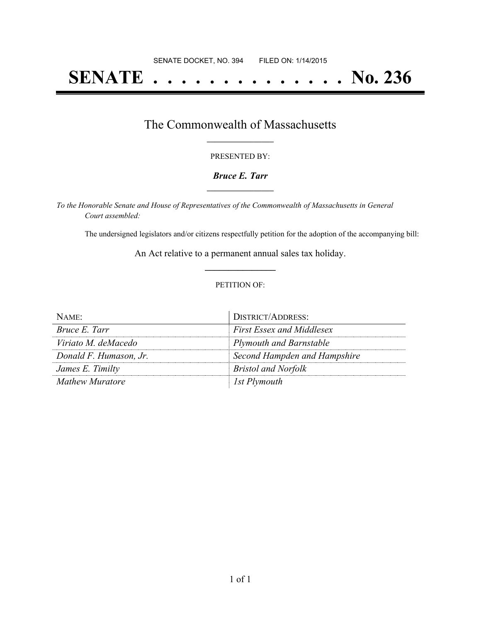# **SENATE . . . . . . . . . . . . . . No. 236**

### The Commonwealth of Massachusetts **\_\_\_\_\_\_\_\_\_\_\_\_\_\_\_\_\_**

#### PRESENTED BY:

#### *Bruce E. Tarr* **\_\_\_\_\_\_\_\_\_\_\_\_\_\_\_\_\_**

*To the Honorable Senate and House of Representatives of the Commonwealth of Massachusetts in General Court assembled:*

The undersigned legislators and/or citizens respectfully petition for the adoption of the accompanying bill:

An Act relative to a permanent annual sales tax holiday. **\_\_\_\_\_\_\_\_\_\_\_\_\_\_\_**

#### PETITION OF:

| NAME                   | DISTRICT/ADDRESS:                |
|------------------------|----------------------------------|
| Bruce E. Tarr          | <b>First Essex and Middlesex</b> |
| Viriato M. deMacedo    | <b>Plymouth and Barnstable</b>   |
| Donald F. Humason, Jr. | Second Hampden and Hampshire     |
| James E. Timilty       | <b>Bristol and Norfolk</b>       |
| <b>Mathew Muratore</b> | 1st Plymouth                     |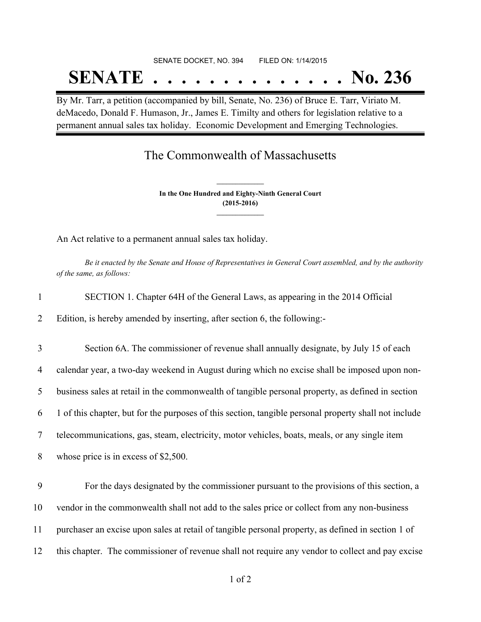# SENATE DOCKET, NO. 394 FILED ON: 1/14/2015 **SENATE . . . . . . . . . . . . . . No. 236**

By Mr. Tarr, a petition (accompanied by bill, Senate, No. 236) of Bruce E. Tarr, Viriato M. deMacedo, Donald F. Humason, Jr., James E. Timilty and others for legislation relative to a permanent annual sales tax holiday. Economic Development and Emerging Technologies.

## The Commonwealth of Massachusetts

**In the One Hundred and Eighty-Ninth General Court (2015-2016) \_\_\_\_\_\_\_\_\_\_\_\_\_\_\_**

**\_\_\_\_\_\_\_\_\_\_\_\_\_\_\_**

An Act relative to a permanent annual sales tax holiday.

Be it enacted by the Senate and House of Representatives in General Court assembled, and by the authority *of the same, as follows:*

| SECTION 1. Chapter 64H of the General Laws, as appearing in the 2014 Official |
|-------------------------------------------------------------------------------|
|-------------------------------------------------------------------------------|

2 Edition, is hereby amended by inserting, after section 6, the following:-

 Section 6A. The commissioner of revenue shall annually designate, by July 15 of each calendar year, a two-day weekend in August during which no excise shall be imposed upon non- business sales at retail in the commonwealth of tangible personal property, as defined in section 1 of this chapter, but for the purposes of this section, tangible personal property shall not include telecommunications, gas, steam, electricity, motor vehicles, boats, meals, or any single item whose price is in excess of \$2,500.

 For the days designated by the commissioner pursuant to the provisions of this section, a vendor in the commonwealth shall not add to the sales price or collect from any non-business purchaser an excise upon sales at retail of tangible personal property, as defined in section 1 of this chapter. The commissioner of revenue shall not require any vendor to collect and pay excise